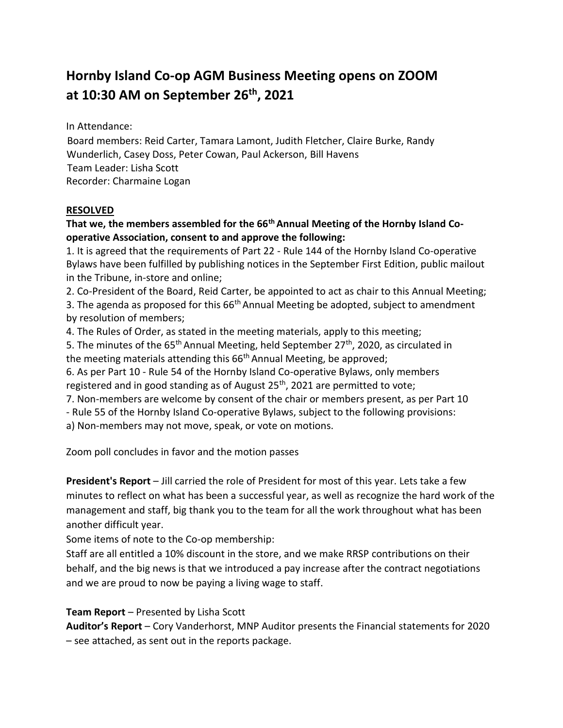# **Hornby Island Co-op AGM Business Meeting opens on ZOOM at 10:30 AM on September 26th, 2021**

In Attendance:

Board members: Reid Carter, Tamara Lamont, Judith Fletcher, Claire Burke, Randy Wunderlich, Casey Doss, Peter Cowan, Paul Ackerson, Bill Havens Team Leader: Lisha Scott Recorder: Charmaine Logan

#### **RESOLVED**

## **That we, the members assembled for the 66th Annual Meeting of the Hornby Island Cooperative Association, consent to and approve the following:**

1. It is agreed that the requirements of Part 22 - Rule 144 of the Hornby Island Co-operative Bylaws have been fulfilled by publishing notices in the September First Edition, public mailout in the Tribune, in-store and online;

2. Co-President of the Board, Reid Carter, be appointed to act as chair to this Annual Meeting; 3. The agenda as proposed for this  $66<sup>th</sup>$  Annual Meeting be adopted, subject to amendment by resolution of members;

4. The Rules of Order, as stated in the meeting materials, apply to this meeting;

5. The minutes of the  $65<sup>th</sup>$  Annual Meeting, held September 27<sup>th</sup>, 2020, as circulated in the meeting materials attending this 66<sup>th</sup> Annual Meeting, be approved;

6. As per Part 10 - Rule 54 of the Hornby Island Co-operative Bylaws, only members registered and in good standing as of August 25<sup>th</sup>, 2021 are permitted to vote;

7. Non-members are welcome by consent of the chair or members present, as per Part 10

- Rule 55 of the Hornby Island Co-operative Bylaws, subject to the following provisions:

a) Non-members may not move, speak, or vote on motions.

Zoom poll concludes in favor and the motion passes

**President's Report** – Jill carried the role of President for most of this year. Lets take a few minutes to reflect on what has been a successful year, as well as recognize the hard work of the management and staff, big thank you to the team for all the work throughout what has been another difficult year.

Some items of note to the Co-op membership:

Staff are all entitled a 10% discount in the store, and we make RRSP contributions on their behalf, and the big news is that we introduced a pay increase after the contract negotiations and we are proud to now be paying a living wage to staff.

#### **Team Report** – Presented by Lisha Scott

**Auditor's Report** – Cory Vanderhorst, MNP Auditor presents the Financial statements for 2020 – see attached, as sent out in the reports package.